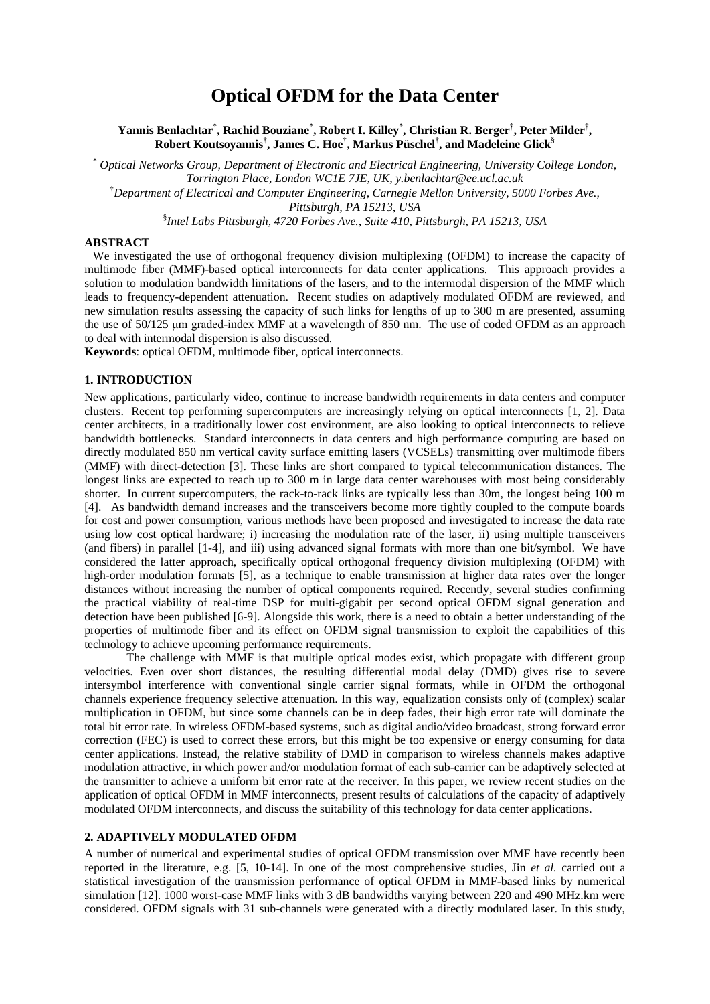# **Optical OFDM for the Data Center**

**Yannis Benlachtar**\* **, Rachid Bouziane**\* **, Robert I. Killey**\* **, Christian R. Berger**† **, Peter Milder**† **, Robert Koutsoyannis**† **, James C. Hoe**† **, Markus Püschel**† **, and Madeleine Glick**§

\* *Optical Networks Group, Department of Electronic and Electrical Engineering, University College London, Torrington Place, London WC1E 7JE, UK, y.benlachtar@ee.ucl.ac.uk* †*Department of Electrical and Computer Engineering, Carnegie Mellon University, 5000 Forbes Ave., Pittsburgh, PA 15213, USA*

§ *Intel Labs Pittsburgh, 4720 Forbes Ave., Suite 410, Pittsburgh, PA 15213, USA*

## **ABSTRACT**

We investigated the use of orthogonal frequency division multiplexing (OFDM) to increase the capacity of multimode fiber (MMF)-based optical interconnects for data center applications. This approach provides a solution to modulation bandwidth limitations of the lasers, and to the intermodal dispersion of the MMF which leads to frequency-dependent attenuation. Recent studies on adaptively modulated OFDM are reviewed, and new simulation results assessing the capacity of such links for lengths of up to 300 m are presented, assuming the use of 50/125 μm graded-index MMF at a wavelength of 850 nm. The use of coded OFDM as an approach to deal with intermodal dispersion is also discussed.

**Keywords**: optical OFDM, multimode fiber, optical interconnects.

#### **1. INTRODUCTION**

New applications, particularly video, continue to increase bandwidth requirements in data centers and computer clusters. Recent top performing supercomputers are increasingly relying on optical interconnects [1, 2]. Data center architects, in a traditionally lower cost environment, are also looking to optical interconnects to relieve bandwidth bottlenecks. Standard interconnects in data centers and high performance computing are based on directly modulated 850 nm vertical cavity surface emitting lasers (VCSELs) transmitting over multimode fibers (MMF) with direct-detection [3]. These links are short compared to typical telecommunication distances. The longest links are expected to reach up to 300 m in large data center warehouses with most being considerably shorter. In current supercomputers, the rack-to-rack links are typically less than 30m, the longest being 100 m [4]. As bandwidth demand increases and the transceivers become more tightly coupled to the compute boards for cost and power consumption, various methods have been proposed and investigated to increase the data rate using low cost optical hardware; i) increasing the modulation rate of the laser, ii) using multiple transceivers (and fibers) in parallel [1-4], and iii) using advanced signal formats with more than one bit/symbol. We have considered the latter approach, specifically optical orthogonal frequency division multiplexing (OFDM) with high-order modulation formats [5], as a technique to enable transmission at higher data rates over the longer distances without increasing the number of optical components required. Recently, several studies confirming the practical viability of real-time DSP for multi-gigabit per second optical OFDM signal generation and detection have been published [6-9]. Alongside this work, there is a need to obtain a better understanding of the properties of multimode fiber and its effect on OFDM signal transmission to exploit the capabilities of this technology to achieve upcoming performance requirements.

The challenge with MMF is that multiple optical modes exist, which propagate with different group velocities. Even over short distances, the resulting differential modal delay (DMD) gives rise to severe intersymbol interference with conventional single carrier signal formats, while in OFDM the orthogonal channels experience frequency selective attenuation. In this way, equalization consists only of (complex) scalar multiplication in OFDM, but since some channels can be in deep fades, their high error rate will dominate the total bit error rate. In wireless OFDM-based systems, such as digital audio/video broadcast, strong forward error correction (FEC) is used to correct these errors, but this might be too expensive or energy consuming for data center applications. Instead, the relative stability of DMD in comparison to wireless channels makes adaptive modulation attractive, in which power and/or modulation format of each sub-carrier can be adaptively selected at the transmitter to achieve a uniform bit error rate at the receiver. In this paper, we review recent studies on the application of optical OFDM in MMF interconnects, present results of calculations of the capacity of adaptively modulated OFDM interconnects, and discuss the suitability of this technology for data center applications.

## **2. ADAPTIVELY MODULATED OFDM**

A number of numerical and experimental studies of optical OFDM transmission over MMF have recently been reported in the literature, e.g. [5, 10-14]. In one of the most comprehensive studies, Jin *et al.* carried out a statistical investigation of the transmission performance of optical OFDM in MMF-based links by numerical simulation [12]. 1000 worst-case MMF links with 3 dB bandwidths varying between 220 and 490 MHz.km were considered. OFDM signals with 31 sub-channels were generated with a directly modulated laser. In this study,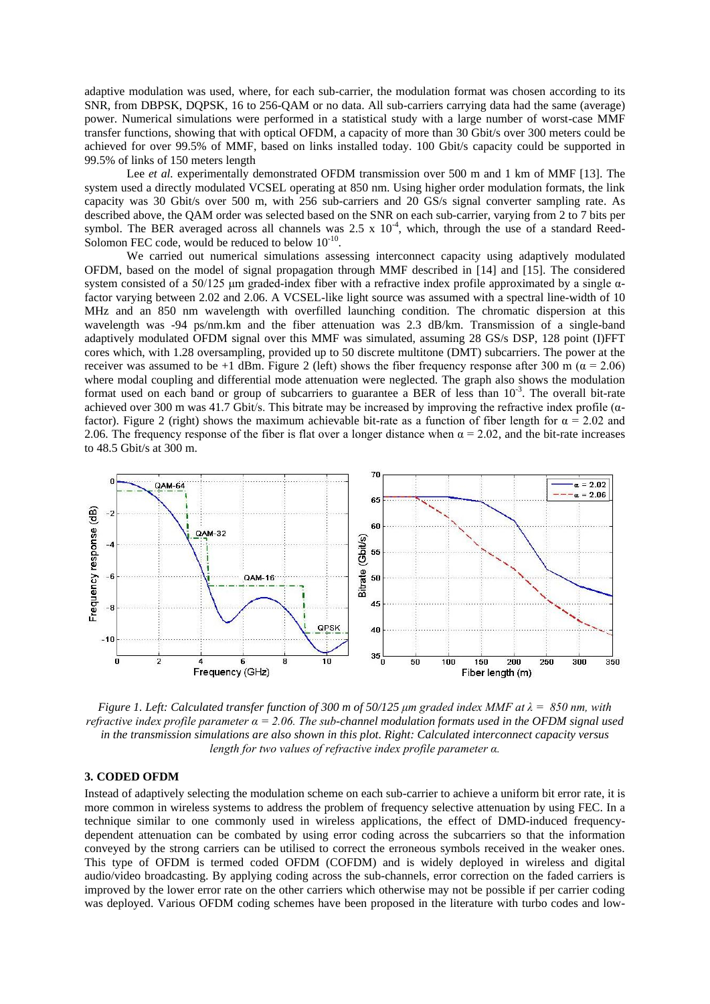adaptive modulation was used, where, for each sub-carrier, the modulation format was chosen according to its SNR, from DBPSK, DQPSK, 16 to 256-QAM or no data. All sub-carriers carrying data had the same (average) power. Numerical simulations were performed in a statistical study with a large number of worst-case MMF transfer functions, showing that with optical OFDM, a capacity of more than 30 Gbit/s over 300 meters could be achieved for over 99.5% of MMF, based on links installed today. 100 Gbit/s capacity could be supported in 99.5% of links of 150 meters length

Lee *et al.* experimentally demonstrated OFDM transmission over 500 m and 1 km of MMF [13]. The system used a directly modulated VCSEL operating at 850 nm. Using higher order modulation formats, the link capacity was 30 Gbit/s over 500 m, with 256 sub-carriers and 20 GS/s signal converter sampling rate. As described above, the QAM order was selected based on the SNR on each sub-carrier, varying from 2 to 7 bits per symbol. The BER averaged across all channels was  $2.5 \times 10^{-4}$ , which, through the use of a standard Reed-Solomon FEC code, would be reduced to below  $10^{-10}$ .

We carried out numerical simulations assessing interconnect capacity using adaptively modulated OFDM, based on the model of signal propagation through MMF described in [14] and [15]. The considered system consisted of a 50/125 μm graded-index fiber with a refractive index profile approximated by a single  $\alpha$ factor varying between 2.02 and 2.06. A VCSEL-like light source was assumed with a spectral line-width of 10 MHz and an 850 nm wavelength with overfilled launching condition. The chromatic dispersion at this wavelength was -94 ps/nm.km and the fiber attenuation was 2.3 dB/km. Transmission of a single-band adaptively modulated OFDM signal over this MMF was simulated, assuming 28 GS/s DSP, 128 point (I)FFT cores which, with 1.28 oversampling, provided up to 50 discrete multitone (DMT) subcarriers. The power at the receiver was assumed to be +1 dBm. Figure 2 (left) shows the fiber frequency response after 300 m ( $\alpha$  = 2.06) where modal coupling and differential mode attenuation were neglected. The graph also shows the modulation format used on each band or group of subcarriers to guarantee a BER of less than 10<sup>-3</sup>. The overall bit-rate achieved over 300 m was 41.7 Gbit/s. This bitrate may be increased by improving the refractive index profile ( $\alpha$ factor). Figure 2 (right) shows the maximum achievable bit-rate as a function of fiber length for  $\alpha = 2.02$  and 2.06. The frequency response of the fiber is flat over a longer distance when  $\alpha = 2.02$ , and the bit-rate increases to 48.5 Gbit/s at 300 m.



*Figure 1. Left: Calculated transfer function of 300 m of 50/125 μm graded index MMF at λ = 850 nm, with refractive index profile parameter α = 2.06. The sub-channel modulation formats used in the OFDM signal used in the transmission simulations are also shown in this plot. Right: Calculated interconnect capacity versus length for two values of refractive index profile parameter α.*

## **3. CODED OFDM**

Instead of adaptively selecting the modulation scheme on each sub-carrier to achieve a uniform bit error rate, it is more common in wireless systems to address the problem of frequency selective attenuation by using FEC. In a technique similar to one commonly used in wireless applications, the effect of DMD-induced frequencydependent attenuation can be combated by using error coding across the subcarriers so that the information conveyed by the strong carriers can be utilised to correct the erroneous symbols received in the weaker ones. This type of OFDM is termed coded OFDM (COFDM) and is widely deployed in wireless and digital audio/video broadcasting. By applying coding across the sub-channels, error correction on the faded carriers is improved by the lower error rate on the other carriers which otherwise may not be possible if per carrier coding was deployed. Various OFDM coding schemes have been proposed in the literature with turbo codes and low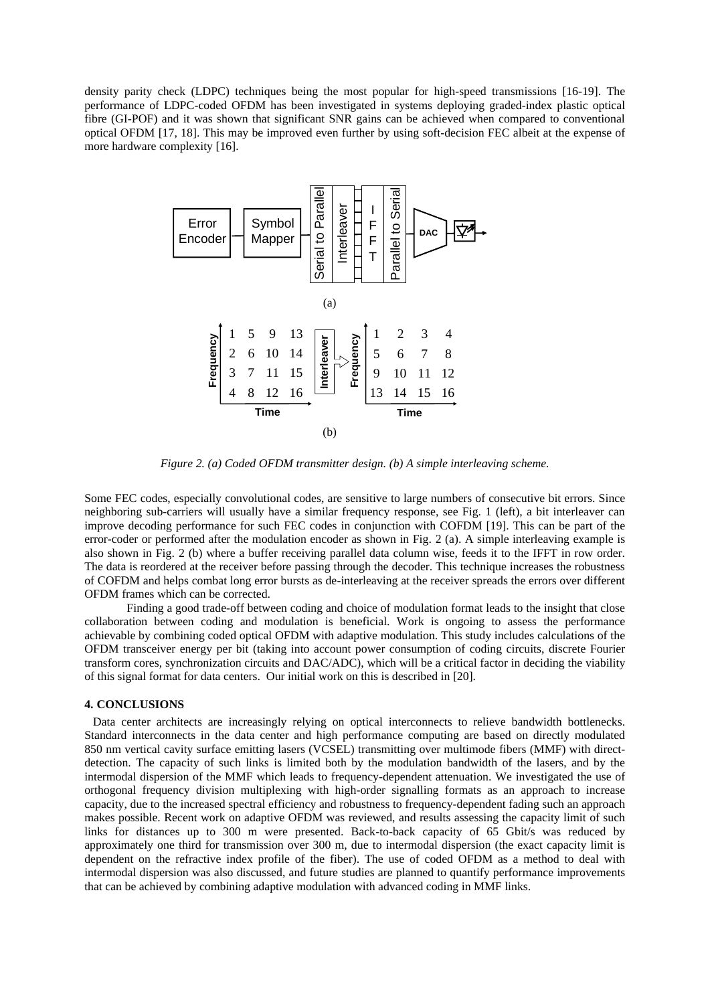density parity check (LDPC) techniques being the most popular for high-speed transmissions [16-19]. The performance of LDPC-coded OFDM has been investigated in systems deploying graded-index plastic optical fibre (GI-POF) and it was shown that significant SNR gains can be achieved when compared to conventional optical OFDM [17, 18]. This may be improved even further by using soft-decision FEC albeit at the expense of more hardware complexity [16].



*Figure 2. (a) Coded OFDM transmitter design. (b) A simple interleaving scheme.*

Some FEC codes, especially convolutional codes, are sensitive to large numbers of consecutive bit errors. Since neighboring sub-carriers will usually have a similar frequency response, see Fig. 1 (left), a bit interleaver can improve decoding performance for such FEC codes in conjunction with COFDM [19]. This can be part of the error-coder or performed after the modulation encoder as shown in Fig. 2 (a). A simple interleaving example is also shown in Fig. 2 (b) where a buffer receiving parallel data column wise, feeds it to the IFFT in row order. The data is reordered at the receiver before passing through the decoder. This technique increases the robustness of COFDM and helps combat long error bursts as de-interleaving at the receiver spreads the errors over different OFDM frames which can be corrected.

Finding a good trade-off between coding and choice of modulation format leads to the insight that close collaboration between coding and modulation is beneficial. Work is ongoing to assess the performance achievable by combining coded optical OFDM with adaptive modulation. This study includes calculations of the OFDM transceiver energy per bit (taking into account power consumption of coding circuits, discrete Fourier transform cores, synchronization circuits and DAC/ADC), which will be a critical factor in deciding the viability of this signal format for data centers. Our initial work on this is described in [20].

### **4. CONCLUSIONS**

Data center architects are increasingly relying on optical interconnects to relieve bandwidth bottlenecks. Standard interconnects in the data center and high performance computing are based on directly modulated 850 nm vertical cavity surface emitting lasers (VCSEL) transmitting over multimode fibers (MMF) with directdetection. The capacity of such links is limited both by the modulation bandwidth of the lasers, and by the intermodal dispersion of the MMF which leads to frequency-dependent attenuation. We investigated the use of orthogonal frequency division multiplexing with high-order signalling formats as an approach to increase capacity, due to the increased spectral efficiency and robustness to frequency-dependent fading such an approach makes possible. Recent work on adaptive OFDM was reviewed, and results assessing the capacity limit of such links for distances up to 300 m were presented. Back-to-back capacity of 65 Gbit/s was reduced by approximately one third for transmission over 300 m, due to intermodal dispersion (the exact capacity limit is dependent on the refractive index profile of the fiber). The use of coded OFDM as a method to deal with intermodal dispersion was also discussed, and future studies are planned to quantify performance improvements that can be achieved by combining adaptive modulation with advanced coding in MMF links.